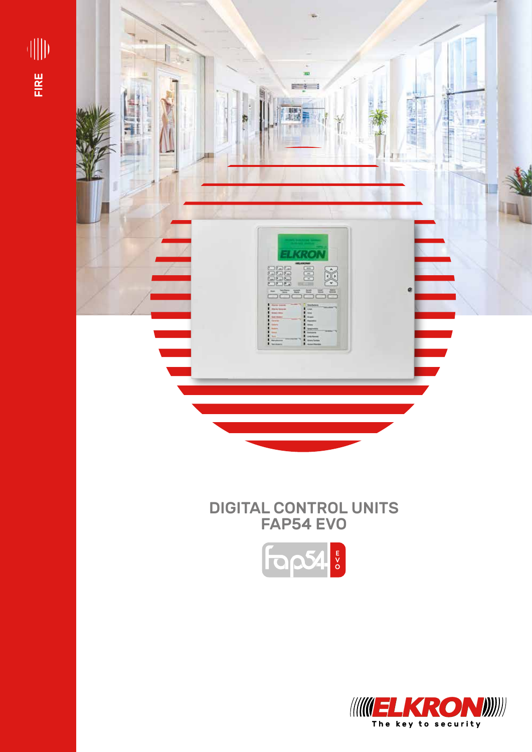



# DIGITAL CONTROL UNITS FAP54 EVO



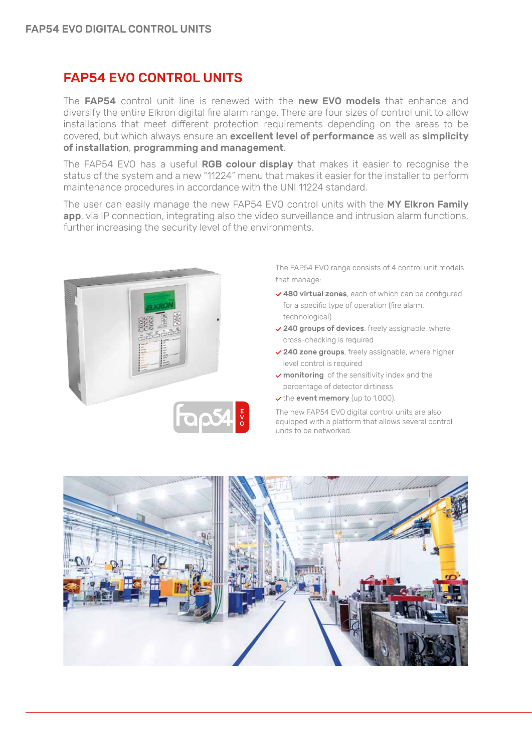#### FAP54 EVO CONTROL UNITS

The FAP54 control unit line is renewed with the new EVO models that enhance and diversify the entire Elkron digital fire alarm range. There are four sizes of control unit to allow installations that meet different protection requirements depending on the areas to be covered, but which always ensure an excellent level of performance as well as simplicity of installation, programming and management.

The FAP54 EVO has a useful RGB colour display that makes it easier to recognise the status of the system and a new "11224" menu that makes it easier for the installer to perform maintenance procedures in accordance with the UNI 11224 standard.

The user can easily manage the new FAP54 EVO control units with the MY Elkron Family app, via IP connection, integrating also the video surveillance and intrusion alarm functions, further increasing the security level of the environments.



The FAP54 EVO range consists of 4 control unit models that manage:

- 480 virtual zones, each of which can be configured for a specific type of operation (fire alarm, technological)
- $\vee$  240 groups of devices, freely assignable, where cross-checking is required
- $\vee$  240 zone groups, freely assignable, where higher level control is required
- $\vee$  monitoring of the sensitivity index and the percentage of detector dirtiness
- $\vee$  the event memory (up to 1,000).

The new FAP54 EVO digital control units are also equipped with a platform that allows several control units to be networked.

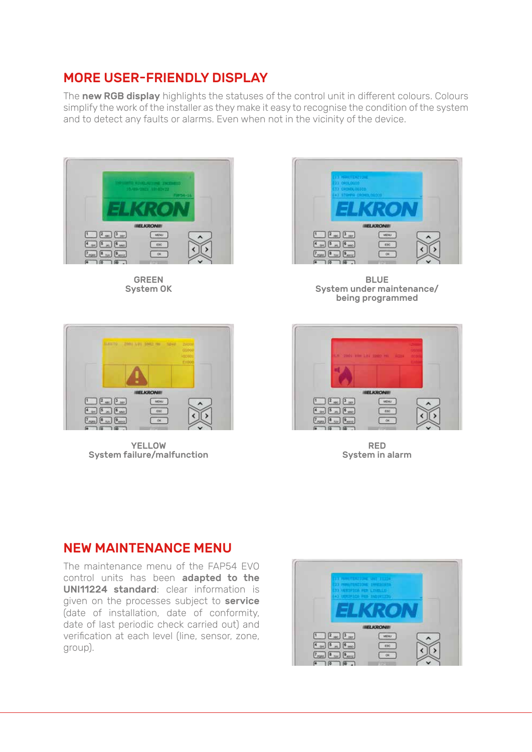### MORE USER-FRIENDLY DISPLAY

The new RGB display highlights the statuses of the control unit in different colours. Colours simplify the work of the installer as they make it easy to recognise the condition of the system and to detect any faults or alarms. Even when not in the vicinity of the device.



GREEN System OK



BLUE System under maintenance/ being programmed



YELLOW System failure/malfunction



RED System in alarm

#### NEW MAINTENANCE MENU

The maintenance menu of the FAP54 EVO control units has been adapted to the UNI11224 standard: clear information is given on the processes subject to **service** (date of installation, date of conformity, date of last periodic check carried out) and verification at each level (line, sensor, zone, group).

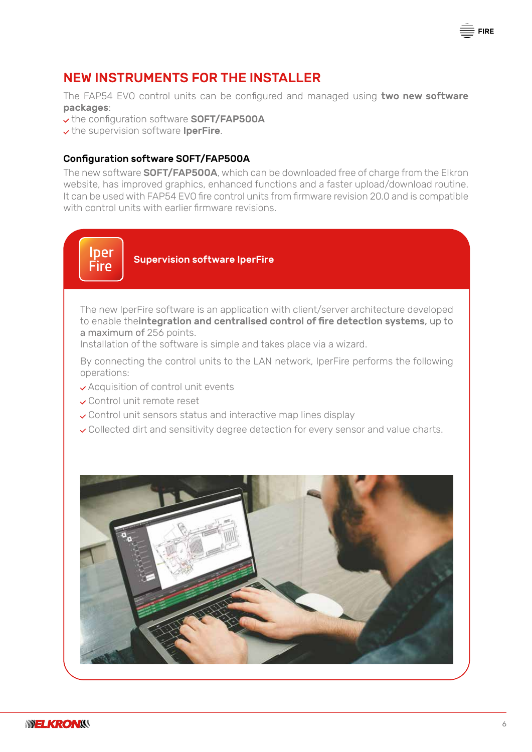

The FAP54 EVO control units can be configured and managed using two new software packages:

v the configuration software SOFT/FAP500A

 $\vee$  the supervision software IperFire.

#### Configuration software SOFT/FAP500A

The new software **SOFT/FAP500A**, which can be downloaded free of charge from the Elkron website, has improved graphics, enhanced functions and a faster upload/download routine. It can be used with FAP54 EVO fire control units from firmware revision 20.0 and is compatible with control units with earlier firmware revisions.

## lper **Fire**

Supervision software IperFire

The new IperFire software is an application with client/server architecture developed to enable theintegration and centralised control of fire detection systems, up to a maximum of 256 points.

Installation of the software is simple and takes place via a wizard.

By connecting the control units to the LAN network, IperFire performs the following operations:

- Acquisition of control unit events
- Control unit remote reset
- Control unit sensors status and interactive map lines display
- Collected dirt and sensitivity degree detection for every sensor and value charts.



 $\bar{\bar{\Xi}}$  FIRE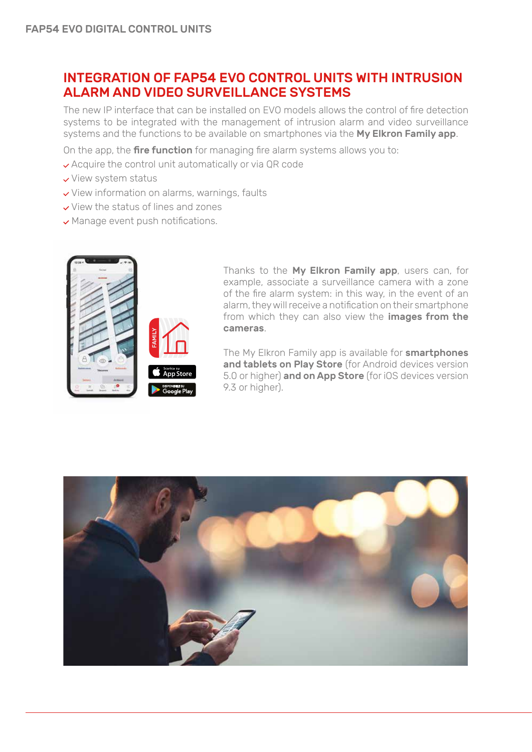#### INTEGRATION OF FAP54 EVO CONTROL UNITS WITH INTRUSION ALARM AND VIDEO SURVEILLANCE SYSTEMS

The new IP interface that can be installed on EVO models allows the control of fire detection systems to be integrated with the management of intrusion alarm and video surveillance systems and the functions to be available on smartphones via the My Elkron Family app.

On the app, the **fire function** for managing fire alarm systems allows you to:

- Acquire the control unit automatically or via QR code
- $\checkmark$  View system status
- View information on alarms, warnings, faults
- View the status of lines and zones
- Manage event push notifications.



Thanks to the My Elkron Family app, users can, for example, associate a surveillance camera with a zone of the fire alarm system: in this way, in the event of an alarm, they will receive a notification on their smartphone from which they can also view the images from the cameras.

The My Elkron Family app is available for **smartphones** and tablets on Play Store (for Android devices version 5.0 or higher) and on App Store (for iOS devices version 9.3 or higher).